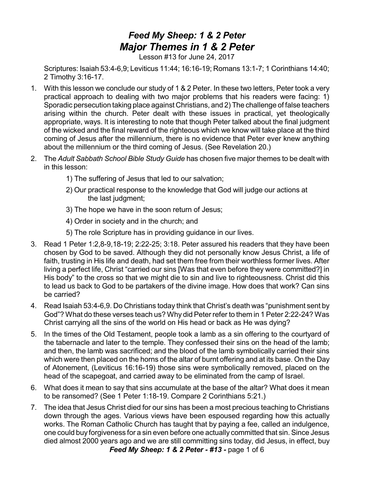## *Feed My Sheep: 1 & 2 Peter Major Themes in 1 & 2 Peter*

Lesson #13 for June 24, 2017

Scriptures: Isaiah 53:4-6,9; Leviticus 11:44; 16:16-19; Romans 13:1-7; 1 Corinthians 14:40; 2 Timothy 3:16-17.

- 1. With this lesson we conclude our study of 1 & 2 Peter. In these two letters, Peter took a very practical approach to dealing with two major problems that his readers were facing: 1) Sporadic persecution taking place against Christians, and 2) The challenge of false teachers arising within the church. Peter dealt with these issues in practical, yet theologically appropriate, ways. It is interesting to note that though Peter talked about the final judgment of the wicked and the final reward of the righteous which we know will take place at the third coming of Jesus after the millennium, there is no evidence that Peter ever knew anything about the millennium or the third coming of Jesus. (See Revelation 20.)
- 2. The *Adult Sabbath School Bible Study Guide* has chosen five major themes to be dealt with in this lesson:
	- 1) The suffering of Jesus that led to our salvation;
	- 2) Our practical response to the knowledge that God will judge our actions at the last judgment;
	- 3) The hope we have in the soon return of Jesus;
	- 4) Order in society and in the church; and
	- 5) The role Scripture has in providing guidance in our lives.
- 3. Read 1 Peter 1:2,8-9,18-19; 2:22-25; 3:18. Peter assured his readers that they have been chosen by God to be saved. Although they did not personally know Jesus Christ, a life of faith, trusting in His life and death, had set them free from their worthless former lives. After living a perfect life, Christ "carried our sins [Was that even before they were committed?] in His body" to the cross so that we might die to sin and live to righteousness. Christ did this to lead us back to God to be partakers of the divine image. How does that work? Can sins be carried?
- 4. Read Isaiah 53:4-6,9. Do Christians today think that Christ's death was "punishment sent by God"? What do these verses teach us? Why did Peter refer to them in 1 Peter 2:22-24? Was Christ carrying all the sins of the world on His head or back as He was dying?
- 5. In the times of the Old Testament, people took a lamb as a sin offering to the courtyard of the tabernacle and later to the temple. They confessed their sins on the head of the lamb; and then, the lamb was sacrificed; and the blood of the lamb symbolically carried their sins which were then placed on the horns of the altar of burnt offering and at its base. On the Day of Atonement, (Leviticus 16:16-19) those sins were symbolically removed, placed on the head of the scapegoat, and carried away to be eliminated from the camp of Israel.
- 6. What does it mean to say that sins accumulate at the base of the altar? What does it mean to be ransomed? (See 1 Peter 1:18-19. Compare 2 Corinthians 5:21.)
- 7. The idea that Jesus Christ died for our sins has been a most precious teaching to Christians down through the ages. Various views have been espoused regarding how this actually works. The Roman Catholic Church has taught that by paying a fee, called an indulgence, one could buy forgiveness for a sin even before one actually committed that sin. Since Jesus died almost 2000 years ago and we are still committing sins today, did Jesus, in effect, buy *Feed My Sheep: 1 & 2 Peter - #13 -* page 1 of 6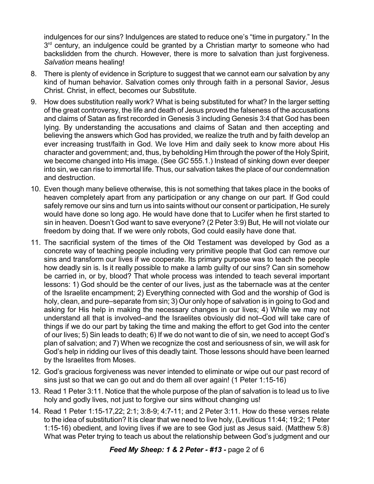indulgences for our sins? Indulgences are stated to reduce one's "time in purgatory." In the 3<sup>rd</sup> century, an indulgence could be granted by a Christian martyr to someone who had backslidden from the church. However, there is more to salvation than just forgiveness. *Salvation* means healing!

- 8. There is plenty of evidence in Scripture to suggest that we cannot earn our salvation by any kind of human behavior. Salvation comes only through faith in a personal Savior, Jesus Christ. Christ, in effect, becomes our Substitute.
- 9. How does substitution really work? What is being substituted for what? In the larger setting of the great controversy, the life and death of Jesus proved the falseness of the accusations and claims of Satan as first recorded in Genesis 3 including Genesis 3:4 that God has been lying. By understanding the accusations and claims of Satan and then accepting and believing the answers which God has provided, we realize the truth and by faith develop an ever increasing trust/faith in God. We love Him and daily seek to know more about His character and government; and, thus, by beholding Him through the power of the HolySpirit, we become changed into His image. (See *GC* 555.1.) Instead of sinking down ever deeper into sin, we can rise to immortal life. Thus, our salvation takes the place of our condemnation and destruction.
- 10. Even though many believe otherwise, this is not something that takes place in the books of heaven completely apart from any participation or any change on our part. If God could safely remove our sins and turn us into saints without our consent or participation, He surely would have done so long ago. He would have done that to Lucifer when he first started to sin in heaven. Doesn't God want to save everyone? (2 Peter 3:9) But, He will not violate our freedom by doing that. If we were only robots, God could easily have done that.
- 11. The sacrificial system of the times of the Old Testament was developed by God as a concrete way of teaching people including very primitive people that God can remove our sins and transform our lives if we cooperate. Its primary purpose was to teach the people how deadly sin is. Is it really possible to make a lamb guilty of our sins? Can sin somehow be carried in, or by, blood? That whole process was intended to teach several important lessons: 1) God should be the center of our lives, just as the tabernacle was at the center of the Israelite encampment; 2) Everything connected with God and the worship of God is holy, clean, and pure–separate from sin; 3) Our only hope of salvation is in going to God and asking for His help in making the necessary changes in our lives; 4) While we may not understand all that is involved–and the Israelites obviously did not–God will take care of things if we do our part by taking the time and making the effort to get God into the center of our lives; 5) Sin leads to death; 6) If we do not want to die of sin, we need to accept God's plan of salvation; and 7) When we recognize the cost and seriousness of sin, we will ask for God's help in ridding our lives of this deadly taint. Those lessons should have been learned by the Israelites from Moses.
- 12. God's gracious forgiveness was never intended to eliminate or wipe out our past record of sins just so that we can go out and do them all over again! (1 Peter 1:15-16)
- 13. Read 1 Peter 3:11. Notice that the whole purpose of the plan of salvation is to lead us to live holy and godly lives, not just to forgive our sins without changing us!
- 14. Read 1 Peter 1:15-17,22; 2:1; 3:8-9; 4:7-11; and 2 Peter 3:11. How do these verses relate to the idea of substitution? It is clear that we need to live holy, (Leviticus 11:44; 19:2; 1 Peter 1:15-16) obedient, and loving lives if we are to see God just as Jesus said. (Matthew 5:8) What was Peter trying to teach us about the relationship between God's judgment and our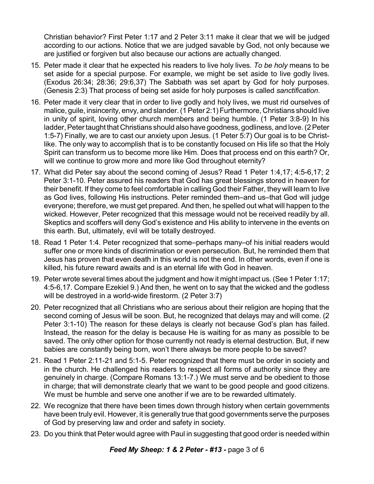Christian behavior? First Peter 1:17 and 2 Peter 3:11 make it clear that we will be judged according to our actions. Notice that we are judged savable by God, not only because we are justified or forgiven but also because our actions are actually changed.

- 15. Peter made it clear that he expected his readers to live holy lives. *To be holy* means to be set aside for a special purpose. For example, we might be set aside to live godly lives. (Exodus 26:34; 28:36; 29:6,37) The Sabbath was set apart by God for holy purposes. (Genesis 2:3) That process of being set aside for holy purposes is called *sanctification*.
- 16. Peter made it very clear that in order to live godly and holy lives, we must rid ourselves of malice, guile, insincerity, envy, and slander. (1 Peter 2:1) Furthermore, Christians should live in unity of spirit, loving other church members and being humble. (1 Peter 3:8-9) In his ladder, Peter taught that Christians should also have goodness, godliness, and love. (2 Peter 1:5-7) Finally, we are to cast our anxiety upon Jesus. (1 Peter 5:7) Our goal is to be Christlike. The only way to accomplish that is to be constantly focused on His life so that the Holy Spirit can transform us to become more like Him. Does that process end on this earth? Or, will we continue to grow more and more like God throughout eternity?
- 17. What did Peter say about the second coming of Jesus? Read 1 Peter 1:4,17; 4:5-6,17; 2 Peter 3:1-10. Peter assured his readers that God has great blessings stored in heaven for their benefit. If they come to feel comfortable in calling God their Father, they will learn to live as God lives, following His instructions. Peter reminded them–and us–that God will judge everyone; therefore, we must get prepared. And then, he spelled out what will happen to the wicked. However, Peter recognized that this message would not be received readily by all. Skeptics and scoffers will deny God's existence and His ability to intervene in the events on this earth. But, ultimately, evil will be totally destroyed.
- 18. Read 1 Peter 1:4. Peter recognized that some–perhaps many–of his initial readers would suffer one or more kinds of discrimination or even persecution. But, he reminded them that Jesus has proven that even death in this world is not the end. In other words, even if one is killed, his future reward awaits and is an eternal life with God in heaven.
- 19. Peter wrote several times about the judgment and how it might impact us. (See 1 Peter 1:17; 4:5-6,17. Compare Ezekiel 9.) And then, he went on to say that the wicked and the godless will be destroyed in a world-wide firestorm. (2 Peter 3:7)
- 20. Peter recognized that all Christians who are serious about their religion are hoping that the second coming of Jesus will be soon. But, he recognized that delays may and will come. (2 Peter 3:1-10) The reason for these delays is clearly not because God's plan has failed. Instead, the reason for the delay is because He is waiting for as many as possible to be saved. The only other option for those currently not ready is eternal destruction. But, if new babies are constantly being born, won't there always be more people to be saved?
- 21. Read 1 Peter 2:11-21 and 5:1-5. Peter recognized that there must be order in society and in the church. He challenged his readers to respect all forms of authority since they are genuinely in charge. (Compare Romans 13:1-7.) We must serve and be obedient to those in charge; that will demonstrate clearly that we want to be good people and good citizens. We must be humble and serve one another if we are to be rewarded ultimately.
- 22. We recognize that there have been times down through history when certain governments have been truly evil. However, it is generally true that good governments serve the purposes of God by preserving law and order and safety in society.
- 23. Do you think that Peter would agree with Paul in suggesting that good order is needed within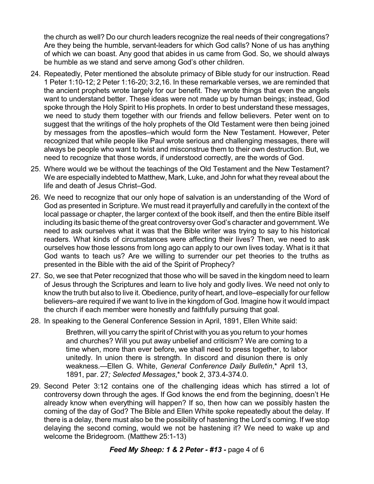the church as well? Do our church leaders recognize the real needs of their congregations? Are they being the humble, servant-leaders for which God calls? None of us has anything of which we can boast. Any good that abides in us came from God. So, we should always be humble as we stand and serve among God's other children.

- 24. Repeatedly, Peter mentioned the absolute primacy of Bible study for our instruction. Read 1 Peter 1:10-12; 2 Peter 1:16-20; 3:2,16. In these remarkable verses, we are reminded that the ancient prophets wrote largely for our benefit. They wrote things that even the angels want to understand better. These ideas were not made up by human beings; instead, God spoke through the Holy Spirit to His prophets. In order to best understand these messages, we need to study them together with our friends and fellow believers. Peter went on to suggest that the writings of the holy prophets of the Old Testament were then being joined by messages from the apostles–which would form the New Testament. However, Peter recognized that while people like Paul wrote serious and challenging messages, there will always be people who want to twist and misconstrue them to their own destruction. But, we need to recognize that those words, if understood correctly, are the words of God.
- 25. Where would we be without the teachings of the Old Testament and the New Testament? We are especially indebted to Matthew, Mark, Luke, and John for what they reveal about the life and death of Jesus Christ–God.
- 26. We need to recognize that our only hope of salvation is an understanding of the Word of God as presented in Scripture. We must read it prayerfully and carefully in the context of the local passage or chapter, the larger context of the book itself, and then the entire Bible itself including its basic theme of the great controversy over God's character and government. We need to ask ourselves what it was that the Bible writer was trying to say to his historical readers. What kinds of circumstances were affecting their lives? Then, we need to ask ourselves how those lessons from long ago can apply to our own lives today. What is it that God wants to teach us? Are we willing to surrender our pet theories to the truths as presented in the Bible with the aid of the Spirit of Prophecy?
- 27. So, we see that Peter recognized that those who will be saved in the kingdom need to learn of Jesus through the Scriptures and learn to live holy and godly lives. We need not only to know the truth but also to live it. Obedience, purity of heart, and love–especially for our fellow believers–are required if we want to live in the kingdom of God. Imagine how it would impact the church if each member were honestly and faithfully pursuing that goal.
- 28. In speaking to the General Conference Session in April, 1891, Ellen White said:

Brethren, will you carry the spirit of Christ with you as you return to your homes and churches? Will you put away unbelief and criticism? We are coming to a time when, more than ever before, we shall need to press together, to labor unitedly. In union there is strength. In discord and disunion there is only weakness.—Ellen G. White, *General Conference Daily Bulletin*,\* April 13, 1891, par. 27*; Selected Messages*,\* book 2, 373.4-374.0.

29. Second Peter 3:12 contains one of the challenging ideas which has stirred a lot of controversy down through the ages. If God knows the end from the beginning, doesn't He already know when everything will happen? If so, then how can we possibly hasten the coming of the day of God? The Bible and Ellen White spoke repeatedly about the delay. If there is a delay, there must also be the possibility of hastening the Lord's coming. If we stop delaying the second coming, would we not be hastening it? We need to wake up and welcome the Bridegroom. (Matthew 25:1-13)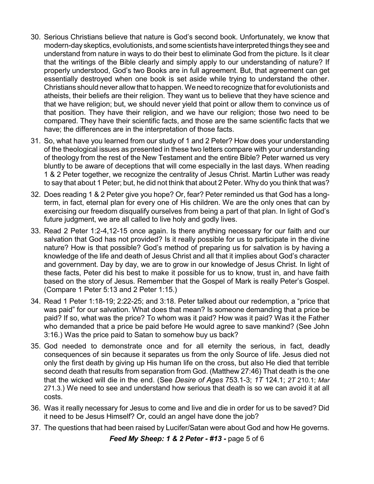- 30. Serious Christians believe that nature is God's second book. Unfortunately, we know that modern-day skeptics, evolutionists, and some scientists have interpreted things they see and understand from nature in ways to do their best to eliminate God from the picture. Is it clear that the writings of the Bible clearly and simply apply to our understanding of nature? If properly understood, God's two Books are in full agreement. But, that agreement can get essentially destroyed when one book is set aside while trying to understand the other. Christians should never allow that to happen. We need to recognize that for evolutionists and atheists, their beliefs are their religion. They want us to believe that they have science and that we have religion; but, we should never yield that point or allow them to convince us of that position. They have their religion, and we have our religion; those two need to be compared. They have their scientific facts, and those are the same scientific facts that we have; the differences are in the interpretation of those facts.
- 31. So, what have you learned from our study of 1 and 2 Peter? How does your understanding of the theological issues as presented in these two letters compare with your understanding of theology from the rest of the New Testament and the entire Bible? Peter warned us very bluntly to be aware of deceptions that will come especially in the last days. When reading 1 & 2 Peter together, we recognize the centrality of Jesus Christ. Martin Luther was ready to say that about 1 Peter; but, he did not think that about 2 Peter. Why do you think that was?
- 32. Does reading 1 & 2 Peter give you hope? Or, fear? Peter reminded us that God has a longterm, in fact, eternal plan for every one of His children. We are the only ones that can by exercising our freedom disqualify ourselves from being a part of that plan. In light of God's future judgment, we are all called to live holy and godly lives.
- 33. Read 2 Peter 1:2-4,12-15 once again. Is there anything necessary for our faith and our salvation that God has not provided? Is it really possible for us to participate in the divine nature? How is that possible? God's method of preparing us for salvation is by having a knowledge of the life and death of Jesus Christ and all that it implies about God's character and government. Day by day, we are to grow in our knowledge of Jesus Christ. In light of these facts, Peter did his best to make it possible for us to know, trust in, and have faith based on the story of Jesus. Remember that the Gospel of Mark is really Peter's Gospel. (Compare 1 Peter 5:13 and 2 Peter 1:15.)
- 34. Read 1 Peter 1:18-19; 2:22-25; and 3:18. Peter talked about our redemption, a "price that was paid" for our salvation. What does that mean? Is someone demanding that a price be paid? If so, what was the price? To whom was it paid? How was it paid? Was it the Father who demanded that a price be paid before He would agree to save mankind? (See John 3:16.) Was the price paid to Satan to somehow buy us back?
- 35. God needed to demonstrate once and for all eternity the serious, in fact, deadly consequences of sin because it separates us from the only Source of life. Jesus died not only the first death by giving up His human life on the cross, but also He died that terrible second death that results from separation from God. (Matthew 27:46) That death is the one that the wicked will die in the end. (See *Desire of Ages* 753.1-3; *1T* 124.1; *2T* 210.1; *Mar* 271.3.) We need to see and understand how serious that death is so we can avoid it at all costs.
- 36. Was it really necessary for Jesus to come and live and die in order for us to be saved? Did it need to be Jesus Himself? Or, could an angel have done the job?
- 37. The questions that had been raised by Lucifer/Satan were about God and how He governs.

*Feed My Sheep: 1 & 2 Peter - #13 -* page 5 of 6